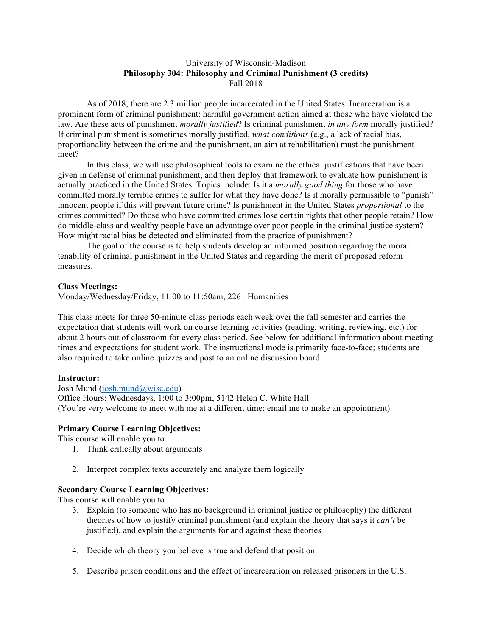### University of Wisconsin-Madison **Philosophy 304: Philosophy and Criminal Punishment (3 credits)** Fall 2018

As of 2018, there are 2.3 million people incarcerated in the United States. Incarceration is a prominent form of criminal punishment: harmful government action aimed at those who have violated the law. Are these acts of punishment *morally justified*? Is criminal punishment *in any form* morally justified? If criminal punishment is sometimes morally justified, *what conditions* (e.g., a lack of racial bias, proportionality between the crime and the punishment, an aim at rehabilitation) must the punishment meet?

In this class, we will use philosophical tools to examine the ethical justifications that have been given in defense of criminal punishment, and then deploy that framework to evaluate how punishment is actually practiced in the United States. Topics include: Is it a *morally good thing* for those who have committed morally terrible crimes to suffer for what they have done? Is it morally permissible to "punish" innocent people if this will prevent future crime? Is punishment in the United States *proportional* to the crimes committed? Do those who have committed crimes lose certain rights that other people retain? How do middle-class and wealthy people have an advantage over poor people in the criminal justice system? How might racial bias be detected and eliminated from the practice of punishment?

The goal of the course is to help students develop an informed position regarding the moral tenability of criminal punishment in the United States and regarding the merit of proposed reform measures.

#### **Class Meetings:**

Monday/Wednesday/Friday, 11:00 to 11:50am, 2261 Humanities

This class meets for three 50-minute class periods each week over the fall semester and carries the expectation that students will work on course learning activities (reading, writing, reviewing, etc.) for about 2 hours out of classroom for every class period. See below for additional information about meeting times and expectations for student work. The instructional mode is primarily face-to-face; students are also required to take online quizzes and post to an online discussion board.

#### **Instructor:**

Josh Mund (josh.mund@wisc.edu) Office Hours: Wednesdays, 1:00 to 3:00pm, 5142 Helen C. White Hall (You're very welcome to meet with me at a different time; email me to make an appointment).

## **Primary Course Learning Objectives:**

This course will enable you to

- 1. Think critically about arguments
- 2. Interpret complex texts accurately and analyze them logically

## **Secondary Course Learning Objectives:**

This course will enable you to

- 3. Explain (to someone who has no background in criminal justice or philosophy) the different theories of how to justify criminal punishment (and explain the theory that says it *can't* be justified), and explain the arguments for and against these theories
- 4. Decide which theory you believe is true and defend that position
- 5. Describe prison conditions and the effect of incarceration on released prisoners in the U.S.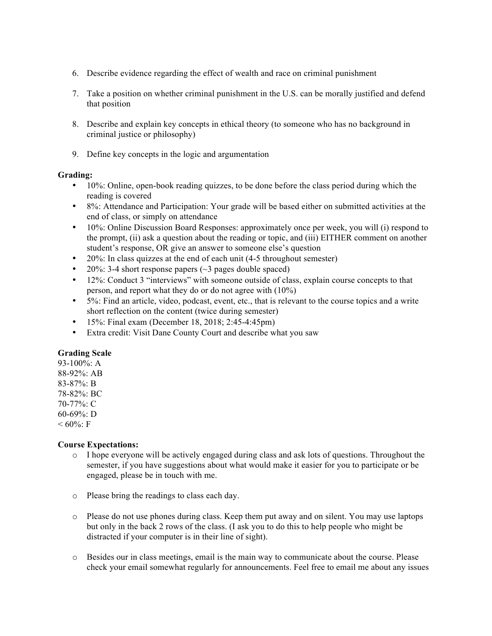- 6. Describe evidence regarding the effect of wealth and race on criminal punishment
- 7. Take a position on whether criminal punishment in the U.S. can be morally justified and defend that position
- 8. Describe and explain key concepts in ethical theory (to someone who has no background in criminal justice or philosophy)
- 9. Define key concepts in the logic and argumentation

## **Grading:**

- 10%: Online, open-book reading quizzes, to be done before the class period during which the reading is covered
- 8%: Attendance and Participation: Your grade will be based either on submitted activities at the end of class, or simply on attendance
- 10%: Online Discussion Board Responses: approximately once per week, you will (i) respond to the prompt, (ii) ask a question about the reading or topic, and (iii) EITHER comment on another student's response, OR give an answer to someone else's question
- 20%: In class quizzes at the end of each unit (4-5 throughout semester)
- 20%: 3-4 short response papers  $(\sim$ 3 pages double spaced)
- 12%: Conduct 3 "interviews" with someone outside of class, explain course concepts to that person, and report what they do or do not agree with (10%)
- 5%: Find an article, video, podcast, event, etc., that is relevant to the course topics and a write short reflection on the content (twice during semester)
- 15%: Final exam (December 18, 2018; 2:45-4:45pm)
- Extra credit: Visit Dane County Court and describe what you saw

# **Grading Scale**

93-100%: A 88-92%: AB 83-87%: B 78-82%: BC 70-77%: C 60-69%: D  $< 60\%$ : F

## **Course Expectations:**

- o I hope everyone will be actively engaged during class and ask lots of questions. Throughout the semester, if you have suggestions about what would make it easier for you to participate or be engaged, please be in touch with me.
- o Please bring the readings to class each day.
- o Please do not use phones during class. Keep them put away and on silent. You may use laptops but only in the back 2 rows of the class. (I ask you to do this to help people who might be distracted if your computer is in their line of sight).
- o Besides our in class meetings, email is the main way to communicate about the course. Please check your email somewhat regularly for announcements. Feel free to email me about any issues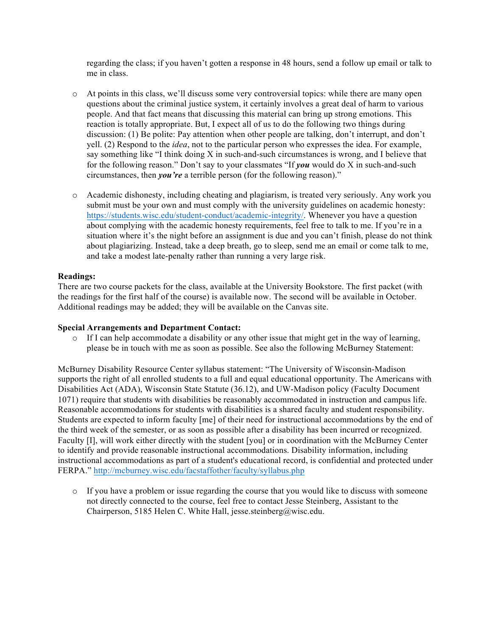regarding the class; if you haven't gotten a response in 48 hours, send a follow up email or talk to me in class.

- o At points in this class, we'll discuss some very controversial topics: while there are many open questions about the criminal justice system, it certainly involves a great deal of harm to various people. And that fact means that discussing this material can bring up strong emotions. This reaction is totally appropriate. But, I expect all of us to do the following two things during discussion: (1) Be polite: Pay attention when other people are talking, don't interrupt, and don't yell. (2) Respond to the *idea*, not to the particular person who expresses the idea. For example, say something like "I think doing X in such-and-such circumstances is wrong, and I believe that for the following reason." Don't say to your classmates "If *you* would do X in such-and-such circumstances, then *you're* a terrible person (for the following reason)."
- o Academic dishonesty, including cheating and plagiarism, is treated very seriously. Any work you submit must be your own and must comply with the university guidelines on academic honesty: https://students.wisc.edu/student-conduct/academic-integrity/. Whenever you have a question about complying with the academic honesty requirements, feel free to talk to me. If you're in a situation where it's the night before an assignment is due and you can't finish, please do not think about plagiarizing. Instead, take a deep breath, go to sleep, send me an email or come talk to me, and take a modest late-penalty rather than running a very large risk.

## **Readings:**

There are two course packets for the class, available at the University Bookstore. The first packet (with the readings for the first half of the course) is available now. The second will be available in October. Additional readings may be added; they will be available on the Canvas site.

## **Special Arrangements and Department Contact:**

 $\circ$  If I can help accommodate a disability or any other issue that might get in the way of learning, please be in touch with me as soon as possible. See also the following McBurney Statement:

McBurney Disability Resource Center syllabus statement: "The University of Wisconsin-Madison supports the right of all enrolled students to a full and equal educational opportunity. The Americans with Disabilities Act (ADA), Wisconsin State Statute (36.12), and UW-Madison policy (Faculty Document 1071) require that students with disabilities be reasonably accommodated in instruction and campus life. Reasonable accommodations for students with disabilities is a shared faculty and student responsibility. Students are expected to inform faculty [me] of their need for instructional accommodations by the end of the third week of the semester, or as soon as possible after a disability has been incurred or recognized. Faculty [I], will work either directly with the student [you] or in coordination with the McBurney Center to identify and provide reasonable instructional accommodations. Disability information, including instructional accommodations as part of a student's educational record, is confidential and protected under FERPA." http://mcburney.wisc.edu/facstaffother/faculty/syllabus.php

 $\circ$  If you have a problem or issue regarding the course that you would like to discuss with someone not directly connected to the course, feel free to contact Jesse Steinberg, Assistant to the Chairperson, 5185 Helen C. White Hall, jesse.steinberg@wisc.edu.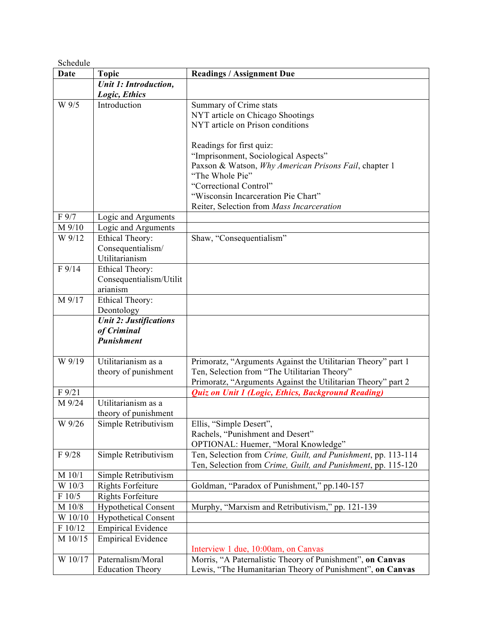| Schedule    |                               |                                                                                                              |
|-------------|-------------------------------|--------------------------------------------------------------------------------------------------------------|
| <b>Date</b> | <b>Topic</b>                  | <b>Readings / Assignment Due</b>                                                                             |
|             | <b>Unit 1: Introduction,</b>  |                                                                                                              |
|             | Logic, Ethics                 |                                                                                                              |
| W 9/5       | Introduction                  | Summary of Crime stats                                                                                       |
|             |                               | NYT article on Chicago Shootings                                                                             |
|             |                               | NYT article on Prison conditions                                                                             |
|             |                               |                                                                                                              |
|             |                               | Readings for first quiz:                                                                                     |
|             |                               | "Imprisonment, Sociological Aspects"                                                                         |
|             |                               | Paxson & Watson, Why American Prisons Fail, chapter 1                                                        |
|             |                               | "The Whole Pie"                                                                                              |
|             |                               | "Correctional Control"<br>"Wisconsin Incarceration Pie Chart"                                                |
|             |                               |                                                                                                              |
| F 9/7       | Logic and Arguments           | Reiter, Selection from Mass Incarceration                                                                    |
| M 9/10      | Logic and Arguments           |                                                                                                              |
| W 9/12      | Ethical Theory:               | Shaw, "Consequentialism"                                                                                     |
|             | Consequentialism/             |                                                                                                              |
|             | Utilitarianism                |                                                                                                              |
| F 9/14      | Ethical Theory:               |                                                                                                              |
|             | Consequentialism/Utilit       |                                                                                                              |
|             | arianism                      |                                                                                                              |
| M 9/17      | Ethical Theory:               |                                                                                                              |
|             | Deontology                    |                                                                                                              |
|             | <b>Unit 2: Justifications</b> |                                                                                                              |
|             | of Criminal                   |                                                                                                              |
|             | <b>Punishment</b>             |                                                                                                              |
|             |                               |                                                                                                              |
| W 9/19      | Utilitarianism as a           | Primoratz, "Arguments Against the Utilitarian Theory" part 1                                                 |
|             | theory of punishment          | Ten, Selection from "The Utilitarian Theory"<br>Primoratz, "Arguments Against the Utilitarian Theory" part 2 |
| F 9/21      |                               | Quiz on Unit 1 (Logic, Ethics, Background Reading)                                                           |
| M 9/24      | Utilitarianism as a           |                                                                                                              |
|             | theory of punishment          |                                                                                                              |
| W 9/26      | Simple Retributivism          | Ellis, "Simple Desert",                                                                                      |
|             |                               | Rachels, "Punishment and Desert"                                                                             |
|             |                               | OPTIONAL: Huemer, "Moral Knowledge"                                                                          |
| F 9/28      | Simple Retributivism          | Ten, Selection from Crime, Guilt, and Punishment, pp. 113-114                                                |
|             |                               | Ten, Selection from Crime, Guilt, and Punishment, pp. 115-120                                                |
| M 10/1      | Simple Retributivism          |                                                                                                              |
| W 10/3      | <b>Rights Forfeiture</b>      | Goldman, "Paradox of Punishment," pp.140-157                                                                 |
| F 10/5      | <b>Rights Forfeiture</b>      |                                                                                                              |
| M 10/8      | <b>Hypothetical Consent</b>   | Murphy, "Marxism and Retributivism," pp. 121-139                                                             |
| W 10/10     | <b>Hypothetical Consent</b>   |                                                                                                              |
| F 10/12     | <b>Empirical Evidence</b>     |                                                                                                              |
| M 10/15     | <b>Empirical Evidence</b>     |                                                                                                              |
|             |                               | Interview 1 due, 10:00am, on Canvas                                                                          |
| W 10/17     | Paternalism/Moral             | Morris, "A Paternalistic Theory of Punishment", on Canvas                                                    |
|             | <b>Education Theory</b>       | Lewis, "The Humanitarian Theory of Punishment", on Canvas                                                    |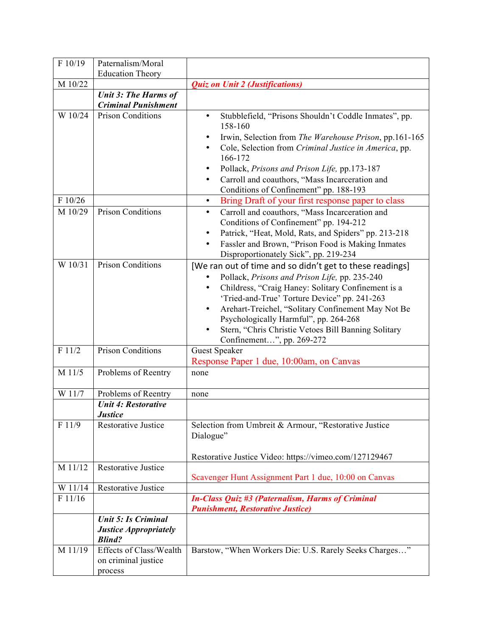| F 10/19                       | Paternalism/Moral                                                           |                                                                                                                                                                                                                                                                                                                                                                                                                                                                                                                                                                                                                                                              |
|-------------------------------|-----------------------------------------------------------------------------|--------------------------------------------------------------------------------------------------------------------------------------------------------------------------------------------------------------------------------------------------------------------------------------------------------------------------------------------------------------------------------------------------------------------------------------------------------------------------------------------------------------------------------------------------------------------------------------------------------------------------------------------------------------|
|                               | <b>Education Theory</b>                                                     |                                                                                                                                                                                                                                                                                                                                                                                                                                                                                                                                                                                                                                                              |
| M 10/22                       |                                                                             | <b>Quiz on Unit 2 (Justifications)</b>                                                                                                                                                                                                                                                                                                                                                                                                                                                                                                                                                                                                                       |
|                               | <b>Unit 3: The Harms of</b><br><b>Criminal Punishment</b>                   |                                                                                                                                                                                                                                                                                                                                                                                                                                                                                                                                                                                                                                                              |
| W 10/24<br>F 10/26<br>M 10/29 | <b>Prison Conditions</b><br><b>Prison Conditions</b>                        | Stubblefield, "Prisons Shouldn't Coddle Inmates", pp.<br>$\bullet$<br>158-160<br>Irwin, Selection from The Warehouse Prison, pp.161-165<br>Cole, Selection from Criminal Justice in America, pp.<br>166-172<br>Pollack, Prisons and Prison Life, pp.173-187<br>Carroll and coauthors, "Mass Incarceration and<br>Conditions of Confinement" pp. 188-193<br>Bring Draft of your first response paper to class<br>$\bullet$<br>Carroll and coauthors, "Mass Incarceration and<br>$\bullet$<br>Conditions of Confinement" pp. 194-212<br>Patrick, "Heat, Mold, Rats, and Spiders" pp. 213-218<br>Fassler and Brown, "Prison Food is Making Inmates<br>$\bullet$ |
| W 10/31                       | <b>Prison Conditions</b>                                                    | Disproportionately Sick", pp. 219-234<br>[We ran out of time and so didn't get to these readings]<br>Pollack, Prisons and Prison Life, pp. 235-240<br>Childress, "Craig Haney: Solitary Confinement is a<br>'Tried-and-True' Torture Device" pp. 241-263<br>Arehart-Treichel, "Solitary Confinement May Not Be<br>$\bullet$<br>Psychologically Harmful", pp. 264-268<br>Stern, "Chris Christie Vetoes Bill Banning Solitary<br>Confinement", pp. 269-272                                                                                                                                                                                                     |
| F 11/2                        | <b>Prison Conditions</b>                                                    | <b>Guest Speaker</b><br>Response Paper 1 due, 10:00am, on Canvas                                                                                                                                                                                                                                                                                                                                                                                                                                                                                                                                                                                             |
| M 11/5                        | Problems of Reentry                                                         | none                                                                                                                                                                                                                                                                                                                                                                                                                                                                                                                                                                                                                                                         |
| W 11/7                        | Problems of Reentry                                                         | none                                                                                                                                                                                                                                                                                                                                                                                                                                                                                                                                                                                                                                                         |
|                               | <b>Unit 4: Restorative</b><br><b>Justice</b>                                |                                                                                                                                                                                                                                                                                                                                                                                                                                                                                                                                                                                                                                                              |
| F 11/9                        | Restorative Justice                                                         | Selection from Umbreit & Armour, "Restorative Justice<br>Dialogue"<br>Restorative Justice Video: https://vimeo.com/127129467                                                                                                                                                                                                                                                                                                                                                                                                                                                                                                                                 |
| M 11/12                       | <b>Restorative Justice</b>                                                  | Scavenger Hunt Assignment Part 1 due, 10:00 on Canvas                                                                                                                                                                                                                                                                                                                                                                                                                                                                                                                                                                                                        |
| W 11/14                       | <b>Restorative Justice</b>                                                  |                                                                                                                                                                                                                                                                                                                                                                                                                                                                                                                                                                                                                                                              |
| F 11/16                       |                                                                             | <b>In-Class Quiz #3 (Paternalism, Harms of Criminal</b><br><b>Punishment, Restorative Justice)</b>                                                                                                                                                                                                                                                                                                                                                                                                                                                                                                                                                           |
|                               | <b>Unit 5: Is Criminal</b><br><b>Justice Appropriately</b><br><b>Blind?</b> |                                                                                                                                                                                                                                                                                                                                                                                                                                                                                                                                                                                                                                                              |
| M 11/19                       | Effects of Class/Wealth<br>on criminal justice<br>process                   | Barstow, "When Workers Die: U.S. Rarely Seeks Charges"                                                                                                                                                                                                                                                                                                                                                                                                                                                                                                                                                                                                       |